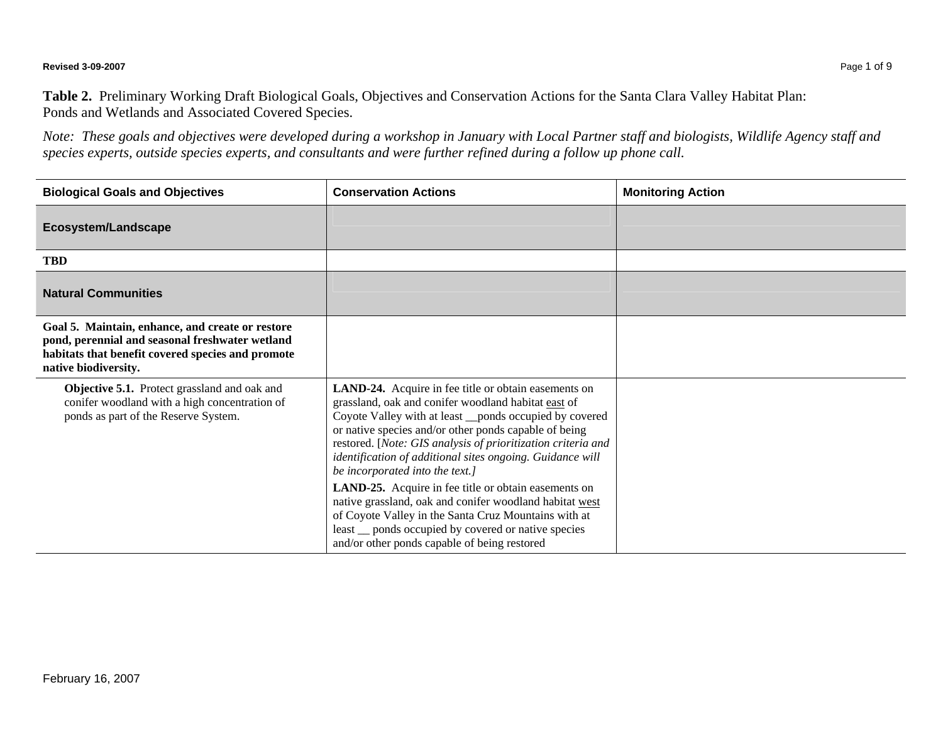**Revised 3-09-2007** Page 1 of 9

**Table 2.** Preliminary Working Draft Biological Goals, Objectives and Conservation Actions for the Santa Clara Valley Habitat Plan: Ponds and Wetlands and Associated Covered Species.

*Note: These goals and objectives were developed during a workshop in January with Local Partner staff and biologists, Wildlife Agency staff and species experts, outside species experts, and consultants and were further refined during a follow up phone call.* 

| <b>Biological Goals and Objectives</b>                                                                                                                                           | <b>Conservation Actions</b>                                                                                                                                                                                                                                                                                                                                                                                                                                                                                                                                                                                                                                                                    | <b>Monitoring Action</b> |
|----------------------------------------------------------------------------------------------------------------------------------------------------------------------------------|------------------------------------------------------------------------------------------------------------------------------------------------------------------------------------------------------------------------------------------------------------------------------------------------------------------------------------------------------------------------------------------------------------------------------------------------------------------------------------------------------------------------------------------------------------------------------------------------------------------------------------------------------------------------------------------------|--------------------------|
| Ecosystem/Landscape                                                                                                                                                              |                                                                                                                                                                                                                                                                                                                                                                                                                                                                                                                                                                                                                                                                                                |                          |
| <b>TBD</b>                                                                                                                                                                       |                                                                                                                                                                                                                                                                                                                                                                                                                                                                                                                                                                                                                                                                                                |                          |
| <b>Natural Communities</b>                                                                                                                                                       |                                                                                                                                                                                                                                                                                                                                                                                                                                                                                                                                                                                                                                                                                                |                          |
| Goal 5. Maintain, enhance, and create or restore<br>pond, perennial and seasonal freshwater wetland<br>habitats that benefit covered species and promote<br>native biodiversity. |                                                                                                                                                                                                                                                                                                                                                                                                                                                                                                                                                                                                                                                                                                |                          |
| <b>Objective 5.1.</b> Protect grassland and oak and<br>conifer woodland with a high concentration of<br>ponds as part of the Reserve System.                                     | <b>LAND-24.</b> Acquire in fee title or obtain easements on<br>grassland, oak and conifer woodland habitat east of<br>Coyote Valley with at least _ponds occupied by covered<br>or native species and/or other ponds capable of being<br>restored. [Note: GIS analysis of prioritization criteria and<br>identification of additional sites ongoing. Guidance will<br>be incorporated into the text.]<br><b>LAND-25.</b> Acquire in fee title or obtain easements on<br>native grassland, oak and conifer woodland habitat west<br>of Coyote Valley in the Santa Cruz Mountains with at<br>least _ ponds occupied by covered or native species<br>and/or other ponds capable of being restored |                          |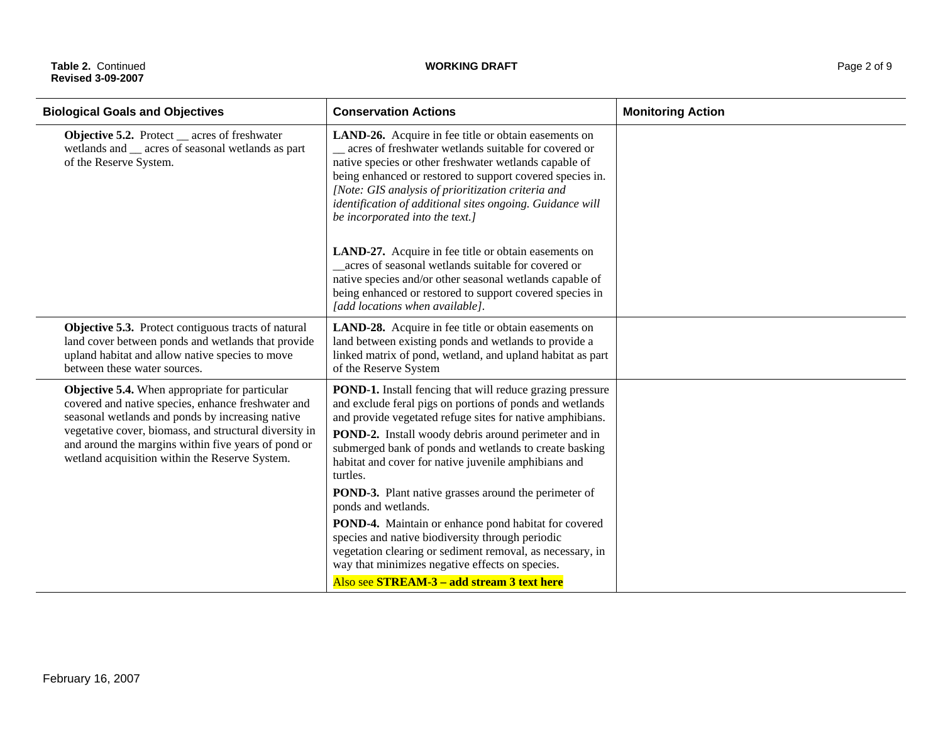| <b>Biological Goals and Objectives</b>                                                                                                                                                                                                                                                                                      | <b>Conservation Actions</b>                                                                                                                                                                                                                                                                                                                                                                                                                                                                                                                                                                                                                                                                                                                     | <b>Monitoring Action</b> |
|-----------------------------------------------------------------------------------------------------------------------------------------------------------------------------------------------------------------------------------------------------------------------------------------------------------------------------|-------------------------------------------------------------------------------------------------------------------------------------------------------------------------------------------------------------------------------------------------------------------------------------------------------------------------------------------------------------------------------------------------------------------------------------------------------------------------------------------------------------------------------------------------------------------------------------------------------------------------------------------------------------------------------------------------------------------------------------------------|--------------------------|
| <b>Objective 5.2.</b> Protect _ acres of freshwater<br>wetlands and _ acres of seasonal wetlands as part<br>of the Reserve System.                                                                                                                                                                                          | LAND-26. Acquire in fee title or obtain easements on<br>acres of freshwater wetlands suitable for covered or<br>native species or other freshwater wetlands capable of<br>being enhanced or restored to support covered species in.<br>[Note: GIS analysis of prioritization criteria and<br>identification of additional sites ongoing. Guidance will<br>be incorporated into the text.]                                                                                                                                                                                                                                                                                                                                                       |                          |
|                                                                                                                                                                                                                                                                                                                             | LAND-27. Acquire in fee title or obtain easements on<br>_acres of seasonal wetlands suitable for covered or<br>native species and/or other seasonal wetlands capable of<br>being enhanced or restored to support covered species in<br>[add locations when available].                                                                                                                                                                                                                                                                                                                                                                                                                                                                          |                          |
| Objective 5.3. Protect contiguous tracts of natural<br>land cover between ponds and wetlands that provide<br>upland habitat and allow native species to move<br>between these water sources.                                                                                                                                | LAND-28. Acquire in fee title or obtain easements on<br>land between existing ponds and wetlands to provide a<br>linked matrix of pond, wetland, and upland habitat as part<br>of the Reserve System                                                                                                                                                                                                                                                                                                                                                                                                                                                                                                                                            |                          |
| Objective 5.4. When appropriate for particular<br>covered and native species, enhance freshwater and<br>seasonal wetlands and ponds by increasing native<br>vegetative cover, biomass, and structural diversity in<br>and around the margins within five years of pond or<br>wetland acquisition within the Reserve System. | <b>POND-1.</b> Install fencing that will reduce grazing pressure<br>and exclude feral pigs on portions of ponds and wetlands<br>and provide vegetated refuge sites for native amphibians.<br>POND-2. Install woody debris around perimeter and in<br>submerged bank of ponds and wetlands to create basking<br>habitat and cover for native juvenile amphibians and<br>turtles.<br><b>POND-3.</b> Plant native grasses around the perimeter of<br>ponds and wetlands.<br>POND-4. Maintain or enhance pond habitat for covered<br>species and native biodiversity through periodic<br>vegetation clearing or sediment removal, as necessary, in<br>way that minimizes negative effects on species.<br>Also see STREAM-3 - add stream 3 text here |                          |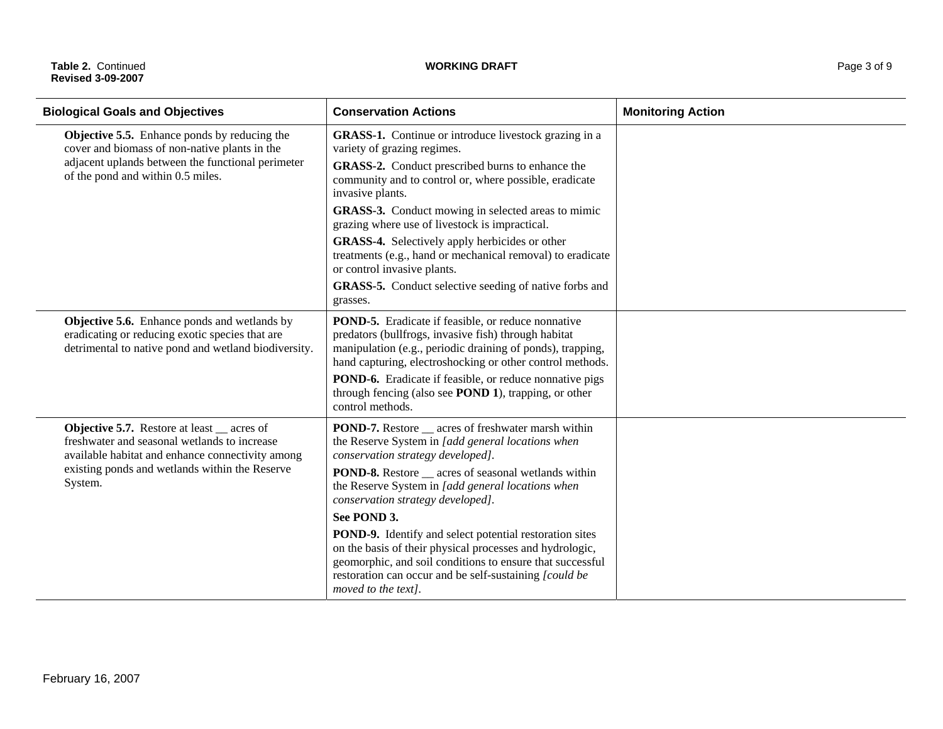| <b>Biological Goals and Objectives</b>                                                                                                                                                                                   | <b>Conservation Actions</b>                                                                                                                                                                                                                                       | <b>Monitoring Action</b> |
|--------------------------------------------------------------------------------------------------------------------------------------------------------------------------------------------------------------------------|-------------------------------------------------------------------------------------------------------------------------------------------------------------------------------------------------------------------------------------------------------------------|--------------------------|
| Objective 5.5. Enhance ponds by reducing the<br>cover and biomass of non-native plants in the<br>adjacent uplands between the functional perimeter<br>of the pond and within 0.5 miles.                                  | GRASS-1. Continue or introduce livestock grazing in a<br>variety of grazing regimes.                                                                                                                                                                              |                          |
|                                                                                                                                                                                                                          | GRASS-2. Conduct prescribed burns to enhance the<br>community and to control or, where possible, eradicate<br>invasive plants.                                                                                                                                    |                          |
|                                                                                                                                                                                                                          | GRASS-3. Conduct mowing in selected areas to mimic<br>grazing where use of livestock is impractical.                                                                                                                                                              |                          |
|                                                                                                                                                                                                                          | <b>GRASS-4.</b> Selectively apply herbicides or other<br>treatments (e.g., hand or mechanical removal) to eradicate<br>or control invasive plants.                                                                                                                |                          |
|                                                                                                                                                                                                                          | GRASS-5. Conduct selective seeding of native forbs and<br>grasses.                                                                                                                                                                                                |                          |
| <b>Objective 5.6.</b> Enhance ponds and wetlands by<br>eradicating or reducing exotic species that are<br>detrimental to native pond and wetland biodiversity.                                                           | <b>POND-5.</b> Eradicate if feasible, or reduce nonnative<br>predators (bullfrogs, invasive fish) through habitat<br>manipulation (e.g., periodic draining of ponds), trapping,<br>hand capturing, electroshocking or other control methods.                      |                          |
|                                                                                                                                                                                                                          | <b>POND-6.</b> Eradicate if feasible, or reduce nonnative pigs<br>through fencing (also see <b>POND 1</b> ), trapping, or other<br>control methods.                                                                                                               |                          |
| <b>Objective 5.7.</b> Restore at least <u>eacnes</u> of<br>freshwater and seasonal wetlands to increase<br>available habitat and enhance connectivity among<br>existing ponds and wetlands within the Reserve<br>System. | <b>POND-7.</b> Restore same acres of freshwater marsh within<br>the Reserve System in [add general locations when<br>conservation strategy developed].                                                                                                            |                          |
|                                                                                                                                                                                                                          | <b>POND-8.</b> Restore __ acres of seasonal wetlands within<br>the Reserve System in [add general locations when<br>conservation strategy developed].                                                                                                             |                          |
|                                                                                                                                                                                                                          | See POND 3.                                                                                                                                                                                                                                                       |                          |
|                                                                                                                                                                                                                          | POND-9. Identify and select potential restoration sites<br>on the basis of their physical processes and hydrologic,<br>geomorphic, and soil conditions to ensure that successful<br>restoration can occur and be self-sustaining [could be<br>moved to the text]. |                          |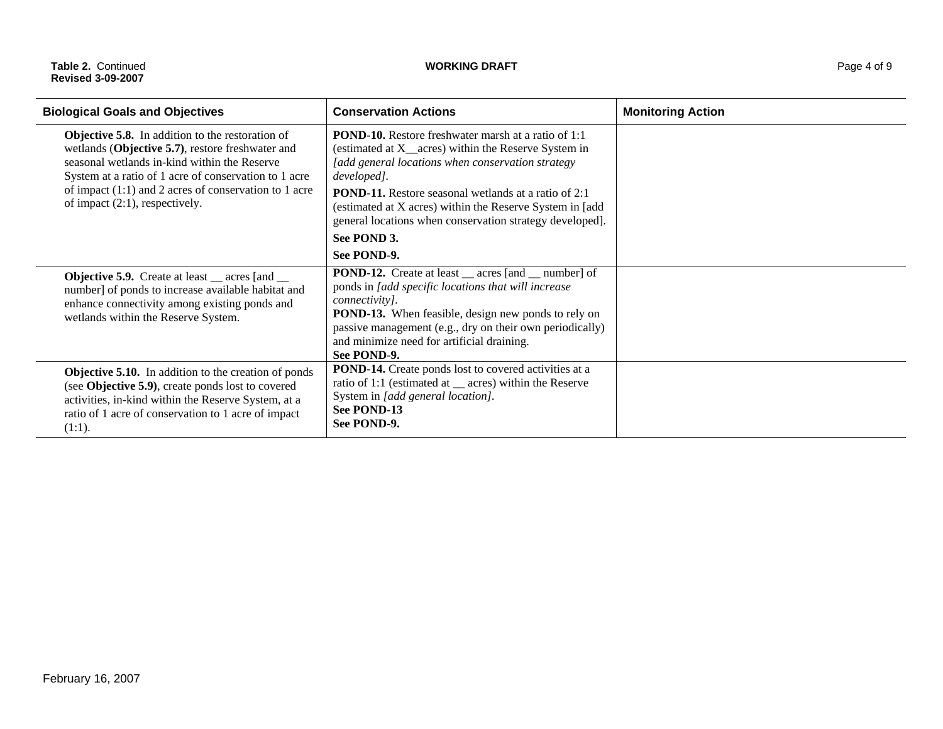**Table 2. Continued CONTEX CONTEX CONTEX CONTEX CONTEX CONTEX CONTEX CONTEX CONTEX CONTEX CONTEX CONTEX CONTEX CONTEX CONTEX CONTEX CONTEX CONTEX CONTEX CONTEX CONTEX CONTEX CONTEX CONTEX CONTEX CONTEX CONTEX CONTEX CONTEX Revised 3-09-2007**

| <b>Biological Goals and Objectives</b>                                                                                                                                                                                                   | <b>Conservation Actions</b>                                                                                                                                                                                                                                                                                                                  | <b>Monitoring Action</b> |
|------------------------------------------------------------------------------------------------------------------------------------------------------------------------------------------------------------------------------------------|----------------------------------------------------------------------------------------------------------------------------------------------------------------------------------------------------------------------------------------------------------------------------------------------------------------------------------------------|--------------------------|
| <b>Objective 5.8.</b> In addition to the restoration of<br>wetlands (Objective 5.7), restore freshwater and<br>seasonal wetlands in-kind within the Reserve<br>System at a ratio of 1 acre of conservation to 1 acre                     | <b>POND-10.</b> Restore freshwater marsh at a ratio of 1:1<br>(estimated at X_acres) within the Reserve System in<br>[add general locations when conservation strategy<br>developed].                                                                                                                                                        |                          |
| of impact (1:1) and 2 acres of conservation to 1 acre<br>of impact $(2:1)$ , respectively.                                                                                                                                               | <b>POND-11.</b> Restore seasonal wetlands at a ratio of 2:1<br>(estimated at X acres) within the Reserve System in [add<br>general locations when conservation strategy developed].                                                                                                                                                          |                          |
|                                                                                                                                                                                                                                          | See POND 3.                                                                                                                                                                                                                                                                                                                                  |                          |
|                                                                                                                                                                                                                                          | See POND-9.                                                                                                                                                                                                                                                                                                                                  |                          |
| <b>Objective 5.9.</b> Create at least <u>exercises</u> [and <u>equal</u><br>number] of ponds to increase available habitat and<br>enhance connectivity among existing ponds and<br>wetlands within the Reserve System.                   | <b>POND-12.</b> Create at least <u>eares</u> [and <u>e</u> number] of<br>ponds in [add specific locations that will increase<br><i>connectivity</i> .<br><b>POND-13.</b> When feasible, design new ponds to rely on<br>passive management (e.g., dry on their own periodically)<br>and minimize need for artificial draining.<br>See POND-9. |                          |
| <b>Objective 5.10.</b> In addition to the creation of ponds<br>(see Objective 5.9), create ponds lost to covered<br>activities, in-kind within the Reserve System, at a<br>ratio of 1 acre of conservation to 1 acre of impact<br>(1:1). | <b>POND-14.</b> Create ponds lost to covered activities at a<br>ratio of 1:1 (estimated at _ acres) within the Reserve<br>System in [add general location].<br>See POND-13<br>See POND-9.                                                                                                                                                    |                          |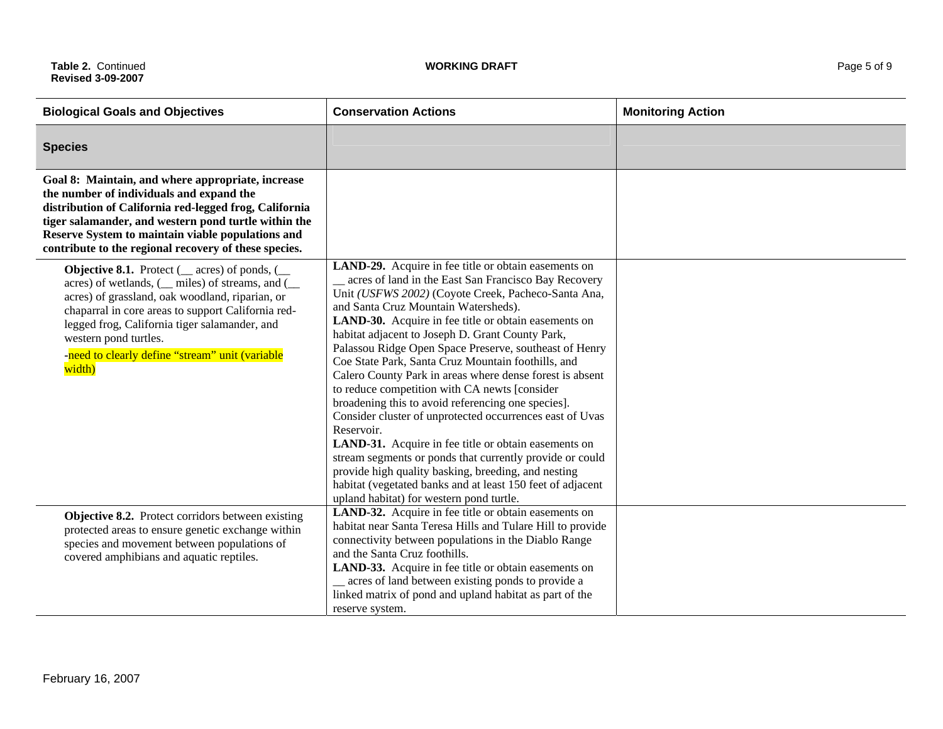**Table 2. Continued CONTERNATION CONTRACT CONTRACT CONTRACT CONTRACT CONTRACT CONTRACT CONTRACT CONTRACT CONTRACT Revised 3-09-2007**

| <b>Biological Goals and Objectives</b>                                                                                                                                                                                                                                                                                                                               | <b>Conservation Actions</b>                                                                                                                                                                                                                                                                                                                                                                                                                                                                                                                                                                                                                                                                                                                                                                                                                                                                                                                                               | <b>Monitoring Action</b> |
|----------------------------------------------------------------------------------------------------------------------------------------------------------------------------------------------------------------------------------------------------------------------------------------------------------------------------------------------------------------------|---------------------------------------------------------------------------------------------------------------------------------------------------------------------------------------------------------------------------------------------------------------------------------------------------------------------------------------------------------------------------------------------------------------------------------------------------------------------------------------------------------------------------------------------------------------------------------------------------------------------------------------------------------------------------------------------------------------------------------------------------------------------------------------------------------------------------------------------------------------------------------------------------------------------------------------------------------------------------|--------------------------|
| <b>Species</b>                                                                                                                                                                                                                                                                                                                                                       |                                                                                                                                                                                                                                                                                                                                                                                                                                                                                                                                                                                                                                                                                                                                                                                                                                                                                                                                                                           |                          |
| Goal 8: Maintain, and where appropriate, increase<br>the number of individuals and expand the<br>distribution of California red-legged frog, California<br>tiger salamander, and western pond turtle within the<br>Reserve System to maintain viable populations and<br>contribute to the regional recovery of these species.                                        |                                                                                                                                                                                                                                                                                                                                                                                                                                                                                                                                                                                                                                                                                                                                                                                                                                                                                                                                                                           |                          |
| <b>Objective 8.1.</b> Protect $(\_\_\$ acres) of ponds, $(\_\_\$<br>acres) of wetlands, ( _ miles) of streams, and (<br>acres) of grassland, oak woodland, riparian, or<br>chaparral in core areas to support California red-<br>legged frog, California tiger salamander, and<br>western pond turtles.<br>-need to clearly define "stream" unit (variable<br>width) | LAND-29. Acquire in fee title or obtain easements on<br>acres of land in the East San Francisco Bay Recovery<br>Unit (USFWS 2002) (Coyote Creek, Pacheco-Santa Ana,<br>and Santa Cruz Mountain Watersheds).<br>LAND-30. Acquire in fee title or obtain easements on<br>habitat adjacent to Joseph D. Grant County Park,<br>Palassou Ridge Open Space Preserve, southeast of Henry<br>Coe State Park, Santa Cruz Mountain foothills, and<br>Calero County Park in areas where dense forest is absent<br>to reduce competition with CA newts [consider<br>broadening this to avoid referencing one species].<br>Consider cluster of unprotected occurrences east of Uvas<br>Reservoir.<br>LAND-31. Acquire in fee title or obtain easements on<br>stream segments or ponds that currently provide or could<br>provide high quality basking, breeding, and nesting<br>habitat (vegetated banks and at least 150 feet of adjacent<br>upland habitat) for western pond turtle. |                          |
| Objective 8.2. Protect corridors between existing<br>protected areas to ensure genetic exchange within<br>species and movement between populations of<br>covered amphibians and aquatic reptiles.                                                                                                                                                                    | LAND-32. Acquire in fee title or obtain easements on<br>habitat near Santa Teresa Hills and Tulare Hill to provide<br>connectivity between populations in the Diablo Range<br>and the Santa Cruz foothills.<br>LAND-33. Acquire in fee title or obtain easements on<br>acres of land between existing ponds to provide a<br>linked matrix of pond and upland habitat as part of the<br>reserve system.                                                                                                                                                                                                                                                                                                                                                                                                                                                                                                                                                                    |                          |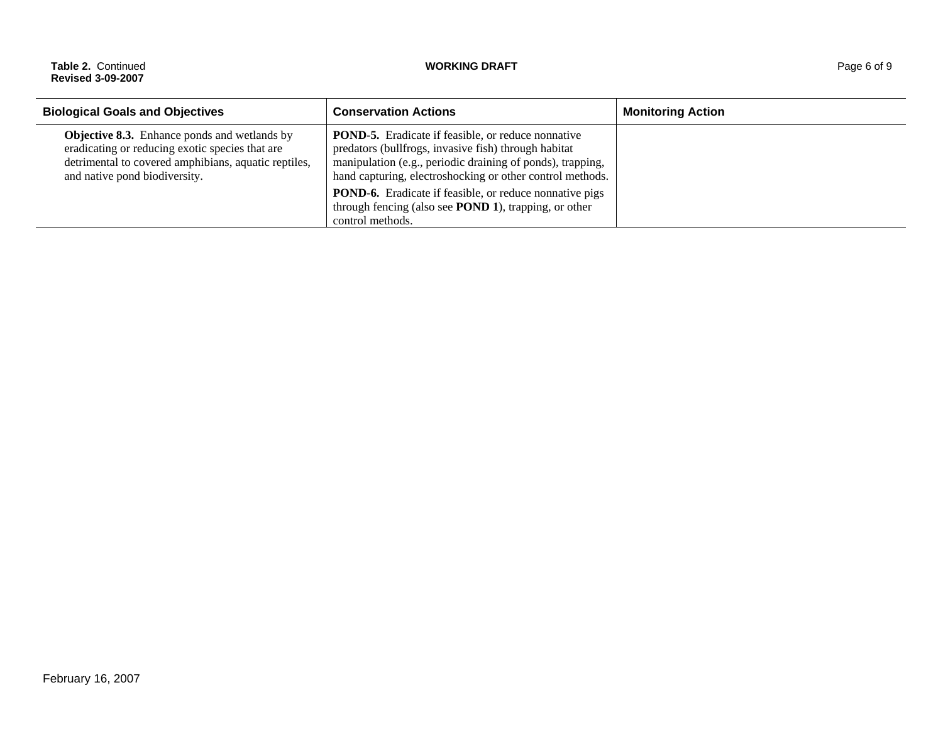**Table 2. Continued CONTEX CONTEX CONTEX CONTEX CONTEX CONTEX CONTEX CONTEX CONTEX CONTEX CONTEX CONTEX CONTEX CONTEX CONTEX CONTEX CONTEX CONTEX CONTEX CONTEX CONTEX CONTEX CONTEX CONTEX CONTEX CONTEX CONTEX CONTEX CONTEX Revised 3-09-2007**

| <b>Biological Goals and Objectives</b>                                                                                                                                                          | <b>Conservation Actions</b>                                                                                                                                                                                                                  | <b>Monitoring Action</b> |
|-------------------------------------------------------------------------------------------------------------------------------------------------------------------------------------------------|----------------------------------------------------------------------------------------------------------------------------------------------------------------------------------------------------------------------------------------------|--------------------------|
| <b>Objective 8.3.</b> Enhance ponds and wetlands by<br>eradicating or reducing exotic species that are<br>detrimental to covered amphibians, aquatic reptiles,<br>and native pond biodiversity. | <b>POND-5.</b> Eradicate if feasible, or reduce nonnative<br>predators (bullfrogs, invasive fish) through habitat<br>manipulation (e.g., periodic draining of ponds), trapping,<br>hand capturing, electroshocking or other control methods. |                          |
|                                                                                                                                                                                                 | <b>POND-6.</b> Eradicate if feasible, or reduce nonnative pigs<br>through fencing (also see <b>POND 1</b> ), trapping, or other<br>control methods.                                                                                          |                          |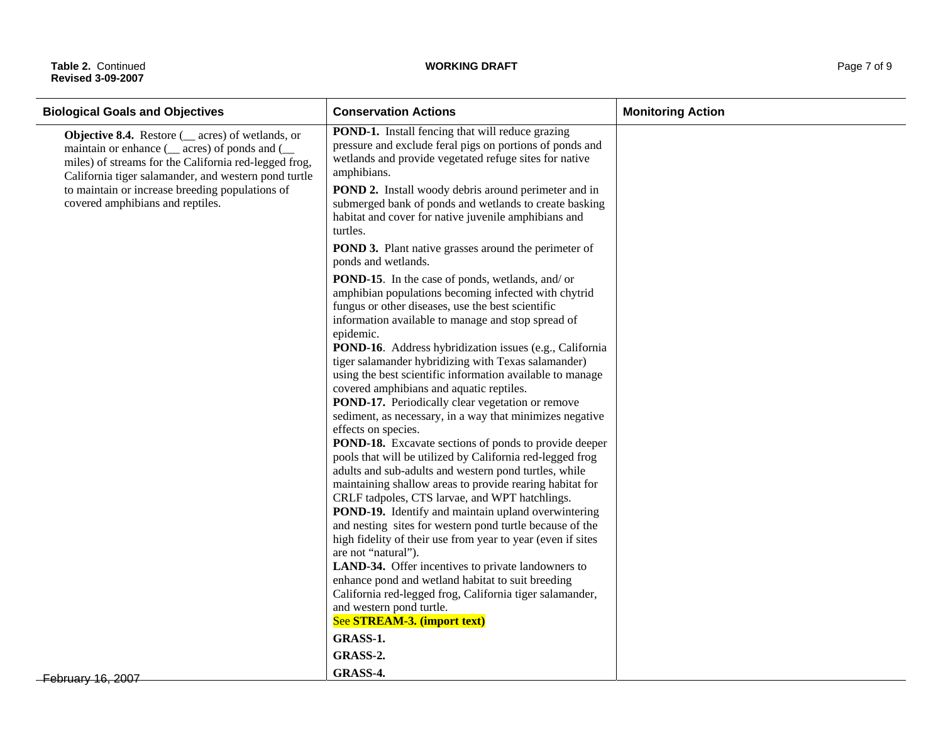| <b>Biological Goals and Objectives</b>                                                                                                                                                                                                                                                                                  | <b>Conservation Actions</b>                                                                                                                                                                                                                                                                                                                                                                                                                                                                                                                                                                                                                                                                                                                                                                                                                                                                                                                                                                                                                                                                                                                                                                                                                                                                                                                                               | <b>Monitoring Action</b> |
|-------------------------------------------------------------------------------------------------------------------------------------------------------------------------------------------------------------------------------------------------------------------------------------------------------------------------|---------------------------------------------------------------------------------------------------------------------------------------------------------------------------------------------------------------------------------------------------------------------------------------------------------------------------------------------------------------------------------------------------------------------------------------------------------------------------------------------------------------------------------------------------------------------------------------------------------------------------------------------------------------------------------------------------------------------------------------------------------------------------------------------------------------------------------------------------------------------------------------------------------------------------------------------------------------------------------------------------------------------------------------------------------------------------------------------------------------------------------------------------------------------------------------------------------------------------------------------------------------------------------------------------------------------------------------------------------------------------|--------------------------|
| <b>Objective 8.4.</b> Restore ( <i>_</i> acres) of wetlands, or<br>maintain or enhance ( secres) of ponds and (<br>miles) of streams for the California red-legged frog,<br>California tiger salamander, and western pond turtle<br>to maintain or increase breeding populations of<br>covered amphibians and reptiles. | POND-1. Install fencing that will reduce grazing<br>pressure and exclude feral pigs on portions of ponds and<br>wetlands and provide vegetated refuge sites for native<br>amphibians.<br>POND 2. Install woody debris around perimeter and in<br>submerged bank of ponds and wetlands to create basking<br>habitat and cover for native juvenile amphibians and<br>turtles.                                                                                                                                                                                                                                                                                                                                                                                                                                                                                                                                                                                                                                                                                                                                                                                                                                                                                                                                                                                               |                          |
|                                                                                                                                                                                                                                                                                                                         | <b>POND 3.</b> Plant native grasses around the perimeter of<br>ponds and wetlands.                                                                                                                                                                                                                                                                                                                                                                                                                                                                                                                                                                                                                                                                                                                                                                                                                                                                                                                                                                                                                                                                                                                                                                                                                                                                                        |                          |
|                                                                                                                                                                                                                                                                                                                         | POND-15. In the case of ponds, wetlands, and/ or<br>amphibian populations becoming infected with chytrid<br>fungus or other diseases, use the best scientific<br>information available to manage and stop spread of<br>epidemic.<br>POND-16. Address hybridization issues (e.g., California<br>tiger salamander hybridizing with Texas salamander)<br>using the best scientific information available to manage<br>covered amphibians and aquatic reptiles.<br>POND-17. Periodically clear vegetation or remove<br>sediment, as necessary, in a way that minimizes negative<br>effects on species.<br><b>POND-18.</b> Excavate sections of ponds to provide deeper<br>pools that will be utilized by California red-legged frog<br>adults and sub-adults and western pond turtles, while<br>maintaining shallow areas to provide rearing habitat for<br>CRLF tadpoles, CTS larvae, and WPT hatchlings.<br>POND-19. Identify and maintain upland overwintering<br>and nesting sites for western pond turtle because of the<br>high fidelity of their use from year to year (even if sites<br>are not "natural").<br>LAND-34. Offer incentives to private landowners to<br>enhance pond and wetland habitat to suit breeding<br>California red-legged frog, California tiger salamander,<br>and western pond turtle.<br>See STREAM-3. (import text)<br>GRASS-1.<br>GRASS-2. |                          |
| February 16, 2007                                                                                                                                                                                                                                                                                                       | GRASS-4.                                                                                                                                                                                                                                                                                                                                                                                                                                                                                                                                                                                                                                                                                                                                                                                                                                                                                                                                                                                                                                                                                                                                                                                                                                                                                                                                                                  |                          |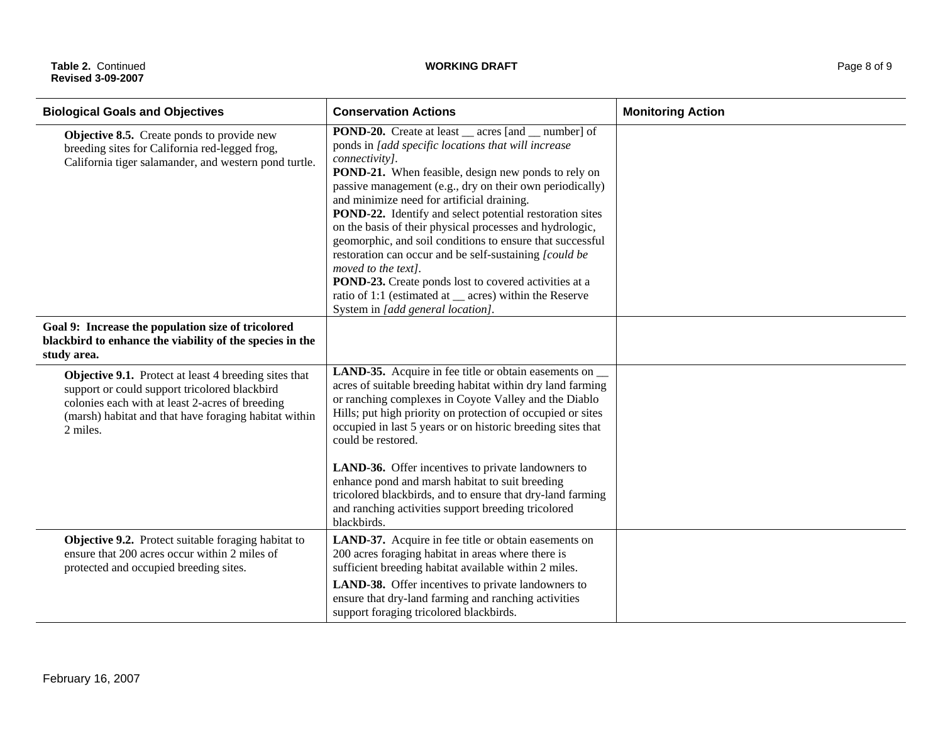**Table 2. Continued CONTEX CONTEX CONTEX CONTEX CONTEX CONTEX CONTEX CONTEX CONTEX CONTEX CONTEX CONTEX CONTEX CONTEX CONTEX CONTEX CONTEX CONTEX CONTEX CONTEX CONTEX CONTEX CONTEX CONTEX CONTEX CONTEX CONTEX CONTEX CONTEX Revised 3-09-2007**

| <b>Biological Goals and Objectives</b>                                                                                                                                                                                         | <b>Conservation Actions</b>                                                                                                                                                                                                                                                                                                                                                                                                                                                                                                                                                                                                                                                                                                                  | <b>Monitoring Action</b> |
|--------------------------------------------------------------------------------------------------------------------------------------------------------------------------------------------------------------------------------|----------------------------------------------------------------------------------------------------------------------------------------------------------------------------------------------------------------------------------------------------------------------------------------------------------------------------------------------------------------------------------------------------------------------------------------------------------------------------------------------------------------------------------------------------------------------------------------------------------------------------------------------------------------------------------------------------------------------------------------------|--------------------------|
| <b>Objective 8.5.</b> Create ponds to provide new<br>breeding sites for California red-legged frog,<br>California tiger salamander, and western pond turtle.                                                                   | <b>POND-20.</b> Create at least <u>eares</u> [and <u>e</u> number] of<br>ponds in [add specific locations that will increase<br>connectivity].<br>POND-21. When feasible, design new ponds to rely on<br>passive management (e.g., dry on their own periodically)<br>and minimize need for artificial draining.<br>POND-22. Identify and select potential restoration sites<br>on the basis of their physical processes and hydrologic,<br>geomorphic, and soil conditions to ensure that successful<br>restoration can occur and be self-sustaining [could be<br>moved to the text].<br>POND-23. Create ponds lost to covered activities at a<br>ratio of 1:1 (estimated at _acres) within the Reserve<br>System in [add general location]. |                          |
| Goal 9: Increase the population size of tricolored<br>blackbird to enhance the viability of the species in the<br>study area.                                                                                                  |                                                                                                                                                                                                                                                                                                                                                                                                                                                                                                                                                                                                                                                                                                                                              |                          |
| Objective 9.1. Protect at least 4 breeding sites that<br>support or could support tricolored blackbird<br>colonies each with at least 2-acres of breeding<br>(marsh) habitat and that have foraging habitat within<br>2 miles. | <b>LAND-35.</b> Acquire in fee title or obtain easements on __<br>acres of suitable breeding habitat within dry land farming<br>or ranching complexes in Coyote Valley and the Diablo<br>Hills; put high priority on protection of occupied or sites<br>occupied in last 5 years or on historic breeding sites that<br>could be restored.                                                                                                                                                                                                                                                                                                                                                                                                    |                          |
|                                                                                                                                                                                                                                | <b>LAND-36.</b> Offer incentives to private landowners to<br>enhance pond and marsh habitat to suit breeding<br>tricolored blackbirds, and to ensure that dry-land farming<br>and ranching activities support breeding tricolored<br>blackbirds.                                                                                                                                                                                                                                                                                                                                                                                                                                                                                             |                          |
| Objective 9.2. Protect suitable foraging habitat to<br>ensure that 200 acres occur within 2 miles of<br>protected and occupied breeding sites.                                                                                 | LAND-37. Acquire in fee title or obtain easements on<br>200 acres foraging habitat in areas where there is<br>sufficient breeding habitat available within 2 miles.<br><b>LAND-38.</b> Offer incentives to private landowners to<br>ensure that dry-land farming and ranching activities<br>support foraging tricolored blackbirds.                                                                                                                                                                                                                                                                                                                                                                                                          |                          |